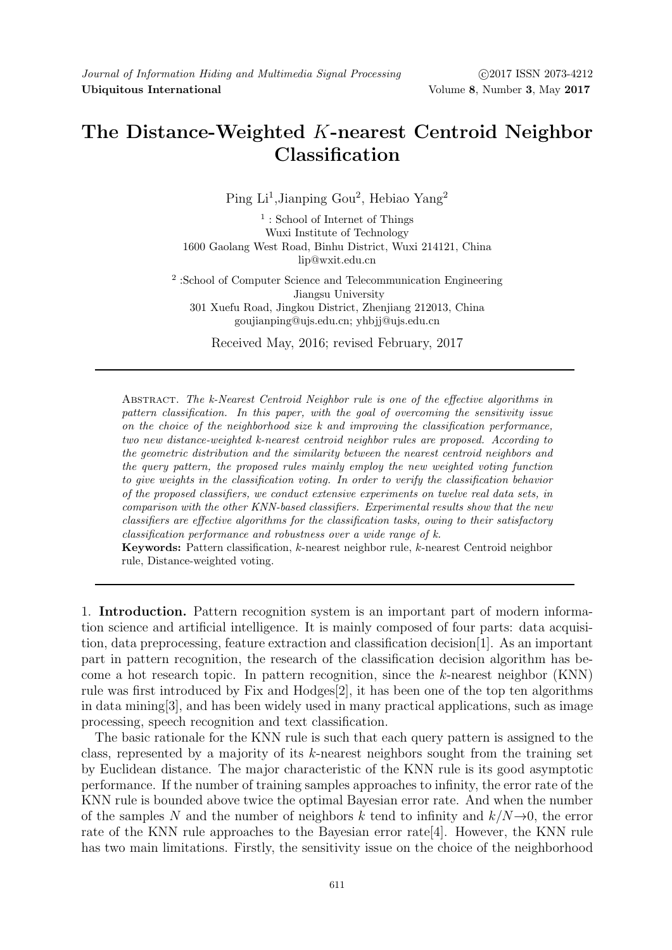# The Distance-Weighted K-nearest Centroid Neighbor Classification

Ping Li<sup>1</sup>, Jianping Gou<sup>2</sup>, Hebiao Yang<sup>2</sup>

<sup>1</sup>: School of Internet of Things Wuxi Institute of Technology 1600 Gaolang West Road, Binhu District, Wuxi 214121, China lip@wxit.edu.cn

2 :School of Computer Science and Telecommunication Engineering Jiangsu University 301 Xuefu Road, Jingkou District, Zhenjiang 212013, China goujianping@ujs.edu.cn; yhbjj@ujs.edu.cn

Received May, 2016; revised February, 2017

ABSTRACT. The k-Nearest Centroid Neighbor rule is one of the effective algorithms in pattern classification. In this paper, with the goal of overcoming the sensitivity issue on the choice of the neighborhood size  $k$  and improving the classification performance, two new distance-weighted k-nearest centroid neighbor rules are proposed. According to the geometric distribution and the similarity between the nearest centroid neighbors and the query pattern, the proposed rules mainly employ the new weighted voting function to give weights in the classification voting. In order to verify the classification behavior of the proposed classifiers, we conduct extensive experiments on twelve real data sets, in comparison with the other KNN-based classifiers. Experimental results show that the new classifiers are effective algorithms for the classification tasks, owing to their satisfactory classification performance and robustness over a wide range of k.

Keywords: Pattern classification, k-nearest neighbor rule, k-nearest Centroid neighbor rule, Distance-weighted voting.

1. Introduction. Pattern recognition system is an important part of modern information science and artificial intelligence. It is mainly composed of four parts: data acquisition, data preprocessing, feature extraction and classification decision[1]. As an important part in pattern recognition, the research of the classification decision algorithm has become a hot research topic. In pattern recognition, since the k-nearest neighbor (KNN) rule was first introduced by Fix and Hodges[2], it has been one of the top ten algorithms in data mining[3], and has been widely used in many practical applications, such as image processing, speech recognition and text classification.

The basic rationale for the KNN rule is such that each query pattern is assigned to the class, represented by a majority of its k-nearest neighbors sought from the training set by Euclidean distance. The major characteristic of the KNN rule is its good asymptotic performance. If the number of training samples approaches to infinity, the error rate of the KNN rule is bounded above twice the optimal Bayesian error rate. And when the number of the samples N and the number of neighbors k tend to infinity and  $k/N\rightarrow 0$ , the error rate of the KNN rule approaches to the Bayesian error rate[4]. However, the KNN rule has two main limitations. Firstly, the sensitivity issue on the choice of the neighborhood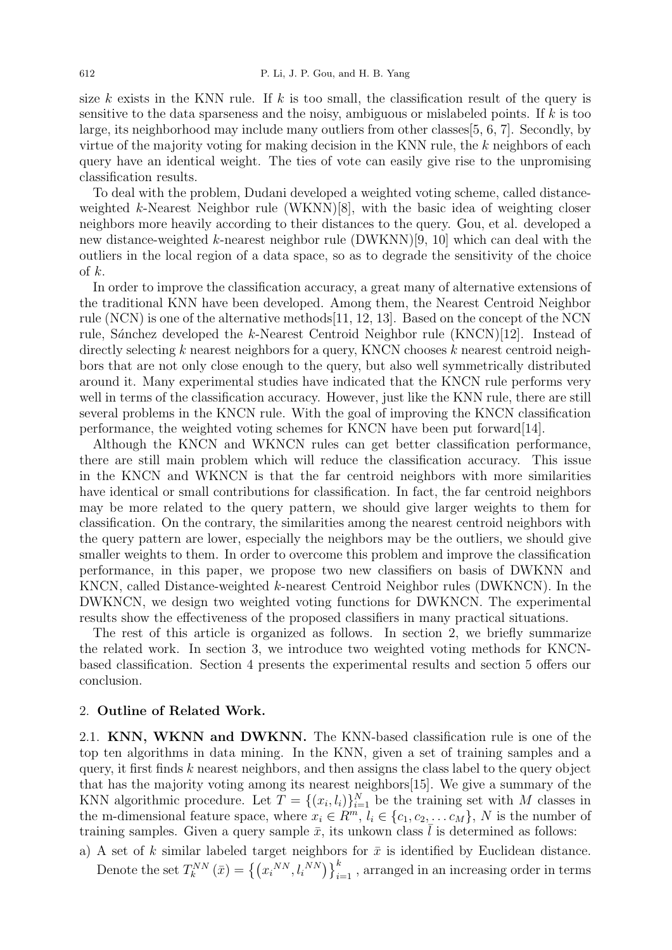size k exists in the KNN rule. If k is too small, the classification result of the query is sensitive to the data sparseness and the noisy, ambiguous or mislabeled points. If  $k$  is too large, its neighborhood may include many outliers from other classes[5, 6, 7]. Secondly, by virtue of the majority voting for making decision in the KNN rule, the k neighbors of each query have an identical weight. The ties of vote can easily give rise to the unpromising classification results.

To deal with the problem, Dudani developed a weighted voting scheme, called distanceweighted k-Nearest Neighbor rule (WKNN)[8], with the basic idea of weighting closer neighbors more heavily according to their distances to the query. Gou, et al. developed a new distance-weighted k-nearest neighbor rule (DWKNN)[9, 10] which can deal with the outliers in the local region of a data space, so as to degrade the sensitivity of the choice of  $k$ .

In order to improve the classification accuracy, a great many of alternative extensions of the traditional KNN have been developed. Among them, the Nearest Centroid Neighbor rule (NCN) is one of the alternative methods[11, 12, 13]. Based on the concept of the NCN rule, Sánchez developed the k-Nearest Centroid Neighbor rule (KNCN)[12]. Instead of directly selecting  $k$  nearest neighbors for a query, KNCN chooses  $k$  nearest centroid neighbors that are not only close enough to the query, but also well symmetrically distributed around it. Many experimental studies have indicated that the KNCN rule performs very well in terms of the classification accuracy. However, just like the KNN rule, there are still several problems in the KNCN rule. With the goal of improving the KNCN classification performance, the weighted voting schemes for KNCN have been put forward[14].

Although the KNCN and WKNCN rules can get better classification performance, there are still main problem which will reduce the classification accuracy. This issue in the KNCN and WKNCN is that the far centroid neighbors with more similarities have identical or small contributions for classification. In fact, the far centroid neighbors may be more related to the query pattern, we should give larger weights to them for classification. On the contrary, the similarities among the nearest centroid neighbors with the query pattern are lower, especially the neighbors may be the outliers, we should give smaller weights to them. In order to overcome this problem and improve the classification performance, in this paper, we propose two new classifiers on basis of DWKNN and KNCN, called Distance-weighted k-nearest Centroid Neighbor rules (DWKNCN). In the DWKNCN, we design two weighted voting functions for DWKNCN. The experimental results show the effectiveness of the proposed classifiers in many practical situations.

The rest of this article is organized as follows. In section 2, we briefly summarize the related work. In section 3, we introduce two weighted voting methods for KNCNbased classification. Section 4 presents the experimental results and section 5 offers our conclusion.

## 2. Outline of Related Work.

2.1. KNN, WKNN and DWKNN. The KNN-based classification rule is one of the top ten algorithms in data mining. In the KNN, given a set of training samples and a query, it first finds  $k$  nearest neighbors, and then assigns the class label to the query object that has the majority voting among its nearest neighbors[15]. We give a summary of the KNN algorithmic procedure. Let  $T = \{(x_i, l_i)\}_{i=1}^N$  be the training set with M classes in the m-dimensional feature space, where  $x_i \in R^m$ ,  $l_i \in \{c_1, c_2, \ldots c_M\}$ , N is the number of training samples. Given a query sample  $\bar{x}$ , its unkown class l is determined as follows:

a) A set of k similar labeled target neighbors for  $\bar{x}$  is identified by Euclidean distance. Denote the set  $T_k^{NN}(\bar{x}) = \left\{ (x_i^{NN}, l_i^{NN}) \right\}_{i=1}^k$ , arranged in an increasing order in terms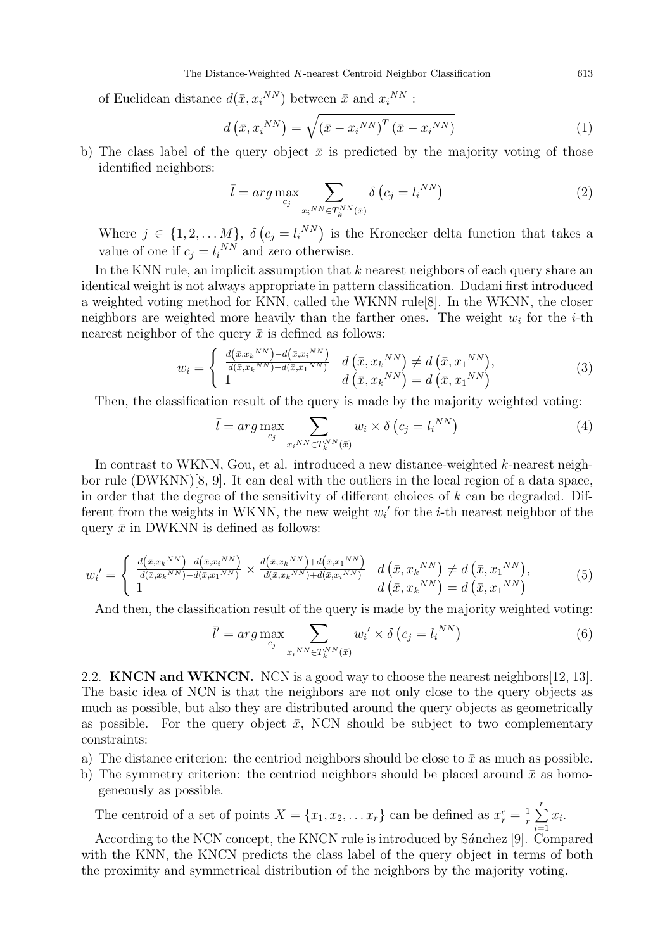of Euclidean distance  $d(\bar{x}, x_i^{NN})$  between  $\bar{x}$  and  $x_i^{NN}$ :

$$
d\left(\bar{x}, x_i^{NN}\right) = \sqrt{\left(\bar{x} - x_i^{NN}\right)^T \left(\bar{x} - x_i^{NN}\right)}
$$
(1)

b) The class label of the query object  $\bar{x}$  is predicted by the majority voting of those identified neighbors:

$$
\bar{l} = arg \max_{c_j} \sum_{x_i^{NN} \in T_k^{NN}(\bar{x})} \delta\left(c_j = l_i^{NN}\right)
$$
\n(2)

Where  $j \in \{1, 2, ..., M\}, \delta(c_j = l_i^{NN})$  is the Kronecker delta function that takes a value of one if  $c_j = l_i^{NN}$  and zero otherwise.

In the KNN rule, an implicit assumption that k nearest neighbors of each query share an identical weight is not always appropriate in pattern classification. Dudani first introduced a weighted voting method for KNN, called the WKNN rule[8]. In the WKNN, the closer neighbors are weighted more heavily than the farther ones. The weight  $w_i$  for the *i*-th nearest neighbor of the query  $\bar{x}$  is defined as follows:

$$
w_i = \begin{cases} \frac{d(\bar{x}, x_k^{NN}) - d(\bar{x}, x_i^{NN})}{d(\bar{x}, x_k^{NN}) - d(\bar{x}, x_1^{NN})} & d(\bar{x}, x_k^{NN}) \neq d(\bar{x}, x_1^{NN}), \\ 1 & d(\bar{x}, x_k^{NN}) = d(\bar{x}, x_1^{NN}) \end{cases}
$$
(3)

Then, the classification result of the query is made by the majority weighted voting:

$$
\bar{l} = arg \max_{c_j} \sum_{x_i^{NN} \in T_k^{NN}(\bar{x})} w_i \times \delta(c_j = l_i^{NN})
$$
\n(4)

In contrast to WKNN, Gou, et al. introduced a new distance-weighted  $k$ -nearest neighbor rule (DWKNN)[8, 9]. It can deal with the outliers in the local region of a data space, in order that the degree of the sensitivity of different choices of  $k$  can be degraded. Different from the weights in WKNN, the new weight  $w_i'$  for the *i*-th nearest neighbor of the query  $\bar{x}$  in DWKNN is defined as follows:

$$
w_{i}' = \begin{cases} \frac{d(\bar{x}, x_{k}^{NN}) - d(\bar{x}, x_{i}^{NN})}{d(\bar{x}, x_{k}^{NN}) - d(\bar{x}, x_{1}^{NN})} \times \frac{d(\bar{x}, x_{k}^{NN}) + d(\bar{x}, x_{i}^{NN})}{d(\bar{x}, x_{k}^{NN}) + d(\bar{x}, x_{i}^{NN})} & d(\bar{x}, x_{k}^{NN}) \neq d(\bar{x}, x_{1}^{NN}), \\ 1 & d(\bar{x}, x_{k}^{NN}) = d(\bar{x}, x_{1}^{NN}) \end{cases}
$$
(5)

And then, the classification result of the query is made by the majority weighted voting:

$$
\bar{l}' = \arg \max_{c_j} \sum_{x_i^{NN} \in T_k^{NN}(\bar{x})} w_i' \times \delta\left(c_j = l_i^{NN}\right)
$$
\n<sup>(6)</sup>

2.2. **KNCN and WKNCN.** NCN is a good way to choose the nearest neighbors [12, 13]. The basic idea of NCN is that the neighbors are not only close to the query objects as much as possible, but also they are distributed around the query objects as geometrically as possible. For the query object  $\bar{x}$ , NCN should be subject to two complementary constraints:

- a) The distance criterion: the centriod neighbors should be close to  $\bar{x}$  as much as possible.
- b) The symmetry criterion: the centriod neighbors should be placed around  $\bar{x}$  as homogeneously as possible.

The centroid of a set of points  $X = \{x_1, x_2, \ldots x_r\}$  can be defined as  $x_r^c = \frac{1}{r}$  $\frac{1}{r}$  $\sum_{r=1}^{r}$  $i=1$  $x_i$ .

According to the NCN concept, the KNCN rule is introduced by Sánchez [9]. Compared with the KNN, the KNCN predicts the class label of the query object in terms of both the proximity and symmetrical distribution of the neighbors by the majority voting.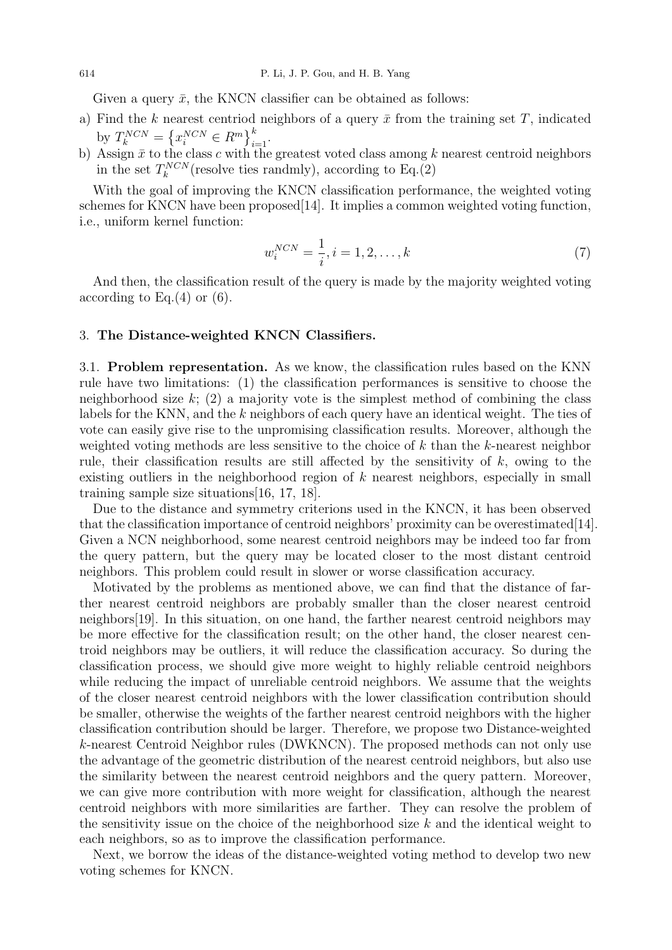Given a query  $\bar{x}$ , the KNCN classifier can be obtained as follows:

- a) Find the k nearest centriod neighbors of a query  $\bar{x}$  from the training set T, indicated by  $T_k^{NCN} = \left\{ x_i^{NCN} \in R^m \right\}_{i=1}^k$ .
- b) Assign  $\bar{x}$  to the class c with the greatest voted class among k nearest centroid neighbors in the set  $T_k^{NCN}$  (resolve ties randmly), according to Eq.(2)

With the goal of improving the KNCN classification performance, the weighted voting schemes for KNCN have been proposed  $[14]$ . It implies a common weighted voting function, i.e., uniform kernel function:

$$
w_i^{NCN} = \frac{1}{i}, i = 1, 2, \dots, k
$$
\n(7)

And then, the classification result of the query is made by the majority weighted voting according to Eq. $(4)$  or  $(6)$ .

#### 3. The Distance-weighted KNCN Classifiers.

3.1. Problem representation. As we know, the classification rules based on the KNN rule have two limitations: (1) the classification performances is sensitive to choose the neighborhood size  $k$ ; (2) a majority vote is the simplest method of combining the class labels for the KNN, and the k neighbors of each query have an identical weight. The ties of vote can easily give rise to the unpromising classification results. Moreover, although the weighted voting methods are less sensitive to the choice of  $k$  than the  $k$ -nearest neighbor rule, their classification results are still affected by the sensitivity of  $k$ , owing to the existing outliers in the neighborhood region of k nearest neighbors, especially in small training sample size situations[16, 17, 18].

Due to the distance and symmetry criterions used in the KNCN, it has been observed that the classification importance of centroid neighbors' proximity can be overestimated[14]. Given a NCN neighborhood, some nearest centroid neighbors may be indeed too far from the query pattern, but the query may be located closer to the most distant centroid neighbors. This problem could result in slower or worse classification accuracy.

Motivated by the problems as mentioned above, we can find that the distance of farther nearest centroid neighbors are probably smaller than the closer nearest centroid neighbors[19]. In this situation, on one hand, the farther nearest centroid neighbors may be more effective for the classification result; on the other hand, the closer nearest centroid neighbors may be outliers, it will reduce the classification accuracy. So during the classification process, we should give more weight to highly reliable centroid neighbors while reducing the impact of unreliable centroid neighbors. We assume that the weights of the closer nearest centroid neighbors with the lower classification contribution should be smaller, otherwise the weights of the farther nearest centroid neighbors with the higher classification contribution should be larger. Therefore, we propose two Distance-weighted k-nearest Centroid Neighbor rules (DWKNCN). The proposed methods can not only use the advantage of the geometric distribution of the nearest centroid neighbors, but also use the similarity between the nearest centroid neighbors and the query pattern. Moreover, we can give more contribution with more weight for classification, although the nearest centroid neighbors with more similarities are farther. They can resolve the problem of the sensitivity issue on the choice of the neighborhood size  $k$  and the identical weight to each neighbors, so as to improve the classification performance.

Next, we borrow the ideas of the distance-weighted voting method to develop two new voting schemes for KNCN.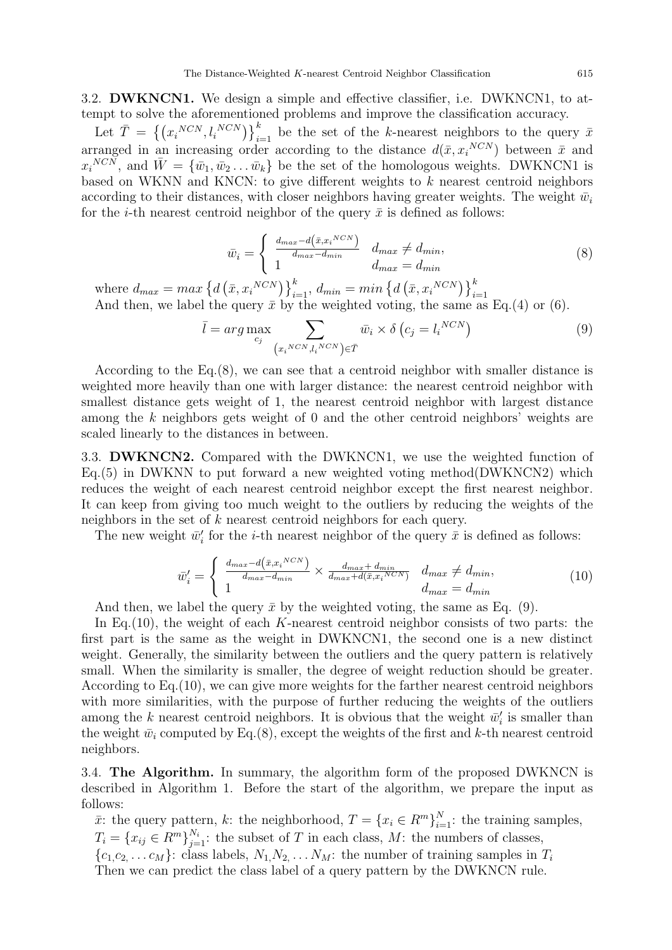3.2. DWKNCN1. We design a simple and effective classifier, i.e. DWKNCN1, to attempt to solve the aforementioned problems and improve the classification accuracy.

Let  $\overline{T} = \left\{ (x_i^{NCN}, l_i^{NCN}) \right\}_{i=1}^k$  be the set of the k-nearest neighbors to the query  $\overline{x}$ arranged in an increasing order according to the distance  $d(\bar{x}, x_i^{NCN})$  between  $\bar{x}$  and  $x_i{}^{NCN}$ , and  $\bar{W} = {\bar{w}_1, \bar{w}_2 \dots \bar{w}_k}$  be the set of the homologous weights. DWKNCN1 is based on WKNN and KNCN: to give different weights to  $k$  nearest centroid neighbors according to their distances, with closer neighbors having greater weights. The weight  $\bar{w}_i$ for the *i*-th nearest centroid neighbor of the query  $\bar{x}$  is defined as follows:

$$
\bar{w}_i = \begin{cases}\n\frac{d_{max} - d(\bar{x}, x_i^{NCN})}{d_{max} - d_{min}} & d_{max} \neq d_{min}, \\
1 & d_{max} = d_{min}\n\end{cases}
$$
\n(8)

where  $d_{max} = max \left\{ d \left( \bar{x}, x_i^{NCN} \right) \right\}_{i=1}^k$ ,  $d_{min} = min \left\{ d \left( \bar{x}, x_i^{NCN} \right) \right\}_{i=1}^k$ .<br>And then, we label the query  $\bar{x}$  by the weighted voting, the same as Eq.(4) or (6).

$$
\bar{l} = arg \max_{c_j} \sum_{\left(x_i^{NCN}, l_i^{NCN}\right) \in \bar{T}} \bar{w}_i \times \delta\left(c_j = l_i^{NCN}\right) \tag{9}
$$

According to the Eq.(8), we can see that a centroid neighbor with smaller distance is weighted more heavily than one with larger distance: the nearest centroid neighbor with smallest distance gets weight of 1, the nearest centroid neighbor with largest distance among the k neighbors gets weight of 0 and the other centroid neighbors' weights are scaled linearly to the distances in between.

3.3. DWKNCN2. Compared with the DWKNCN1, we use the weighted function of  $Eq.(5)$  in DWKNN to put forward a new weighted voting method(DWKNCN2) which reduces the weight of each nearest centroid neighbor except the first nearest neighbor. It can keep from giving too much weight to the outliers by reducing the weights of the neighbors in the set of k nearest centroid neighbors for each query.

The new weight  $\bar{w}'_i$  for the *i*-th nearest neighbor of the query  $\bar{x}$  is defined as follows:

$$
\bar{w}'_i = \begin{cases}\n\frac{d_{max} - d(\bar{x}, x_i^{NCN})}{d_{max} - d_{min}} \times \frac{d_{max} + d_{min}}{d_{max} + d(\bar{x}, x_i^{NCN})} & d_{max} \neq d_{min}, \\
1 & d_{max} = d_{min}\n\end{cases}
$$
\n(10)

And then, we label the query  $\bar{x}$  by the weighted voting, the same as Eq. (9).

In Eq.(10), the weight of each K-nearest centroid neighbor consists of two parts: the first part is the same as the weight in DWKNCN1, the second one is a new distinct weight. Generally, the similarity between the outliers and the query pattern is relatively small. When the similarity is smaller, the degree of weight reduction should be greater. According to Eq.(10), we can give more weights for the farther nearest centroid neighbors with more similarities, with the purpose of further reducing the weights of the outliers among the k nearest centroid neighbors. It is obvious that the weight  $\bar{w}'_i$  is smaller than the weight  $\bar{w}_i$  computed by Eq.(8), except the weights of the first and k-th nearest centroid neighbors.

3.4. The Algorithm. In summary, the algorithm form of the proposed DWKNCN is described in Algorithm 1. Before the start of the algorithm, we prepare the input as follows:

 $\bar{x}$ : the query pattern, k: the neighborhood,  $T = \{x_i \in R^m\}_{i=1}^N$ : the training samples,  $T_i = \{x_{ij} \in R^m\}_{j=1}^{N_i}$ : the subset of T in each class, M: the numbers of classes,  $\{c_1, c_2, \ldots c_M\}$ : class labels,  $N_1, N_2, \ldots N_M$ : the number of training samples in  $T_i$ Then we can predict the class label of a query pattern by the DWKNCN rule.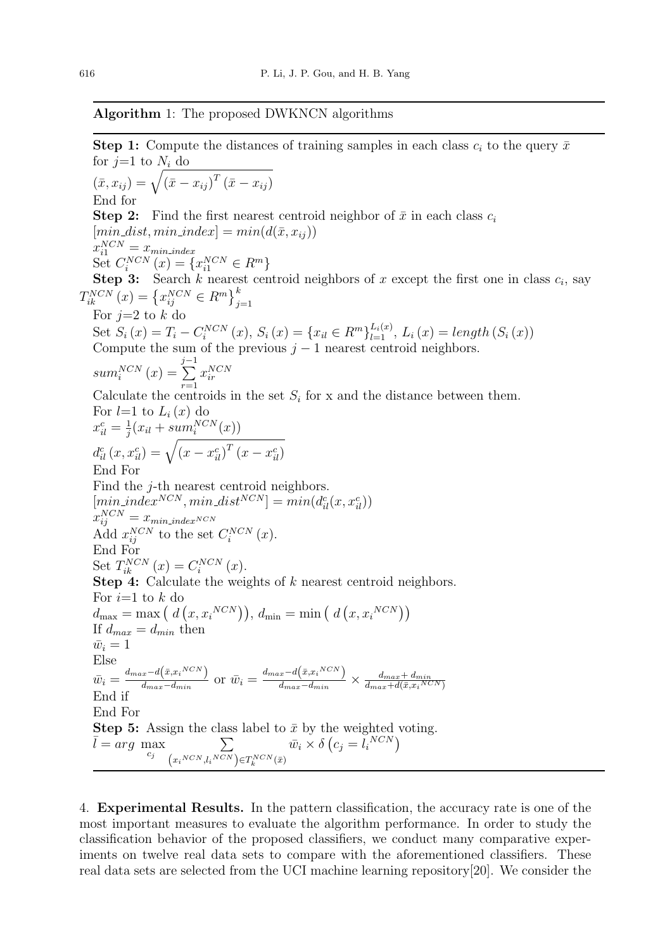## Algorithm 1: The proposed DWKNCN algorithms

**Step 1:** Compute the distances of training samples in each class  $c_i$  to the query  $\bar{x}$ for  $j=1$  to  $N_i$  do  $(\bar{x}, x_{ij}) = \sqrt{\left(\bar{x} - x_{ij}\right)^T \left(\bar{x} - x_{ij}\right)}$ End for **Step 2:** Find the first nearest centroid neighbor of  $\bar{x}$  in each class  $c_i$  $[min\_dist, min\_index] = min(d(\bar{x}, x_{ij}))$  $x_{i1}^{NCN} = x_{min\_index}$ Set  $C_i^{NCN}(x) = \{x_{i1}^{NCN} \in R^m\}$ **Step 3:** Search k nearest centroid neighbors of x except the first one in class  $c_i$ , say  $T_{ik}^{NCN}(x) = \left\{x_{ij}^{NCN} \in R^m\right\}_{j=1}^k$ For  $j=2$  to k do Set  $S_i(x) = T_i - C_i^{NCN}(x)$ ,  $S_i(x) = \{x_{il} \in R^m\}_{l=1}^{L_i(x)}$ ,  $L_i(x) = length(S_i(x))$ Compute the sum of the previous  $j - 1$  nearest centroid neighbors.  $sum_i^{NCN}(x) =$  $\sum_{i}^{j-1} x_{ir}^{NCN}$ Calculate the centroids in the set  $S_i$  for x and the distance between them. For  $l=1$  to  $L_i(x)$  do  $x_{il}^c = \frac{1}{i}$  $\frac{1}{j}(x_{il} + sum_i^{NCN}(x))$  $d_{il}^{c}\left(x,x_{il}^{c}\right)=\sqrt{\left(x-x_{il}^{c}\right)^{T}\left(x-x_{il}^{c}\right)}$ End For Find the *j*-th nearest centroid neighbors.  $[min\_index^{NCN}, min\_dist^{NCN}] = min(d_{il}^c(x, x_{il}^c))$  $x_{ij}^{NCN}=x_{min\_index^{NCN}}$ Add  $x_{ij}^{NCN}$  to the set  $C_i^{NCN}(x)$ . End For Set  $T_{ik}^{NCN}(x) = C_i^{NCN}(x)$ . Step 4: Calculate the weights of k nearest centroid neighbors. For  $i=1$  to k do  $d_{\text{max}} = \text{max} (d (x, x_i^{NCN})), d_{\text{min}} = \text{min} (d (x, x_i^{NCN}))$ If  $d_{max} = d_{min}$  then  $\bar{w}_i = 1$ Else  $\bar{w}_i = \frac{d_{max}-d(\bar{x}, x_i{}^{NCN})}{d_{max}-d_{min}}$  $\frac{x-d(\bar{x},x_i{}^{NCN})}{d_{max}-d_{min}}$  or  $\bar{w}_i = \frac{d_{max}-d(\bar{x},x_i{}^{NCN})}{d_{max}-d_{min}}$  $\frac{d_{max}-d(x,x_i^{n+1})}{d_{max}-d_{min}} \times \frac{d_{max}+d_{min}}{d_{max}+d(\bar{x},x_i^{NQ})}$  $\overline{d_{max}+d(\bar x, x_i{}^{NCN})}$ End if End For **Step 5:** Assign the class label to  $\bar{x}$  by the weighted voting.  $\overline{l} = \arg \max_{c_j} \sum_{(NCN, NCN)}$  $(x_i{}^{NCN}, l_i{}^{NCN}) \in T_k^{NCN}(\bar{x})$  $\bar{w}_i \times \delta (c_j = l_i^{NCN})$ 

4. Experimental Results. In the pattern classification, the accuracy rate is one of the most important measures to evaluate the algorithm performance. In order to study the classification behavior of the proposed classifiers, we conduct many comparative experiments on twelve real data sets to compare with the aforementioned classifiers. These real data sets are selected from the UCI machine learning repository[20]. We consider the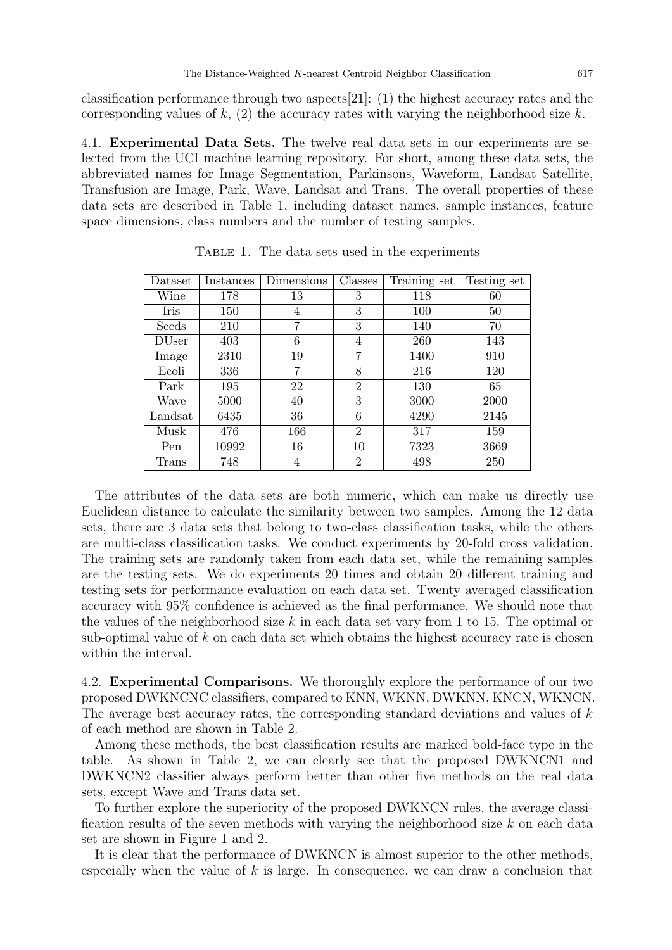classification performance through two aspects[21]: (1) the highest accuracy rates and the corresponding values of  $k$ , (2) the accuracy rates with varying the neighborhood size  $k$ .

4.1. Experimental Data Sets. The twelve real data sets in our experiments are selected from the UCI machine learning repository. For short, among these data sets, the abbreviated names for Image Segmentation, Parkinsons, Waveform, Landsat Satellite, Transfusion are Image, Park, Wave, Landsat and Trans. The overall properties of these data sets are described in Table 1, including dataset names, sample instances, feature space dimensions, class numbers and the number of testing samples.

| $\text{Dataset}$ | Instances | Dimensions | Classes        | Training set | Testing set |
|------------------|-----------|------------|----------------|--------------|-------------|
| Wine             | 178       | 13         | 3              | 118          | 60          |
| Iris             | 150       | 4          | 3              | 100          | 50          |
| Seeds            | 210       | 7          | 3              | 140          | 70          |
| <b>DUser</b>     | 403       | 6          | 4              | 260          | 143         |
| Image            | 2310      | 19         | 7              | 1400         | 910         |
| Ecoli            | 336       | 7          | 8              | 216          | 120         |
| Park             | 195       | 22         | $\overline{2}$ | 130          | 65          |
| Wave             | 5000      | 40         | 3              | 3000         | 2000        |
| Landsat          | 6435      | 36         | 6              | 4290         | 2145        |
| Musk             | 476       | 166        | $\overline{2}$ | 317          | 159         |
| Pen              | 10992     | 16         | 10             | 7323         | 3669        |
| Trans            | 748       | 4          | $\overline{2}$ | 498          | 250         |

Table 1. The data sets used in the experiments

The attributes of the data sets are both numeric, which can make us directly use Euclidean distance to calculate the similarity between two samples. Among the 12 data sets, there are 3 data sets that belong to two-class classification tasks, while the others are multi-class classification tasks. We conduct experiments by 20-fold cross validation. The training sets are randomly taken from each data set, while the remaining samples are the testing sets. We do experiments 20 times and obtain 20 different training and testing sets for performance evaluation on each data set. Twenty averaged classification accuracy with 95% confidence is achieved as the final performance. We should note that the values of the neighborhood size  $k$  in each data set vary from 1 to 15. The optimal or sub-optimal value of  $k$  on each data set which obtains the highest accuracy rate is chosen within the interval.

4.2. Experimental Comparisons. We thoroughly explore the performance of our two proposed DWKNCNC classifiers, compared to KNN, WKNN, DWKNN, KNCN, WKNCN. The average best accuracy rates, the corresponding standard deviations and values of k of each method are shown in Table 2.

Among these methods, the best classification results are marked bold-face type in the table. As shown in Table 2, we can clearly see that the proposed DWKNCN1 and DWKNCN2 classifier always perform better than other five methods on the real data sets, except Wave and Trans data set.

To further explore the superiority of the proposed DWKNCN rules, the average classification results of the seven methods with varying the neighborhood size  $k$  on each data set are shown in Figure 1 and 2.

It is clear that the performance of DWKNCN is almost superior to the other methods, especially when the value of  $k$  is large. In consequence, we can draw a conclusion that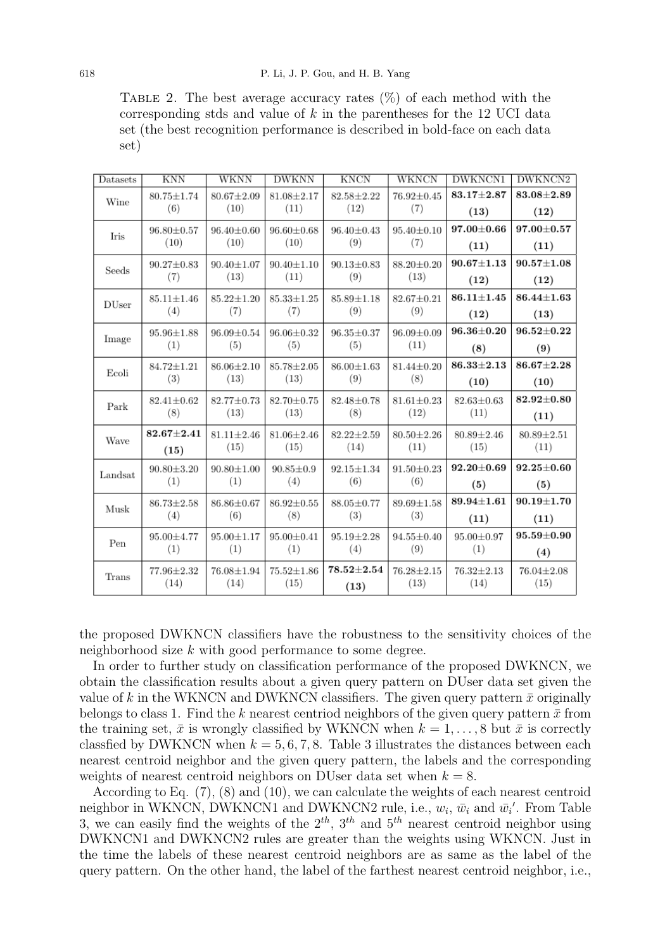TABLE 2. The best average accuracy rates  $(\%)$  of each method with the corresponding stds and value of  $k$  in the parentheses for the 12 UCI data set (the best recognition performance is described in bold-face on each data set)

| Datasets     | <b>KNN</b>              | WKNN                     | <b>DWKNN</b>           | <b>KNCN</b>             | WKNCN                   | <b>DWKNCN1</b>   | DWKNCN2            |
|--------------|-------------------------|--------------------------|------------------------|-------------------------|-------------------------|------------------|--------------------|
| Wine         | $80.75 \pm 1.74$<br>(6) | $80.67 \pm 2.09$<br>(10) | $81.08 + 2.17$<br>(11) | $82.58 + 2.22$<br>(12)  | $76.92 \pm 0.45$<br>(7) | $83.17 + 2.87$   | $83.08 + 2.89$     |
|              |                         |                          |                        |                         |                         | (13)             | (12)               |
| <b>Iris</b>  | $96.80 \pm 0.57$        | $96.40 + 0.60$           | $96.60 \pm 0.68$       | $96.40 \pm 0.43$        | $95.40 + 0.10$          | $97.00 \pm 0.66$ | $97.00 {\pm} 0.57$ |
|              | (10)                    | (10)                     | (10)                   | (9)                     | (7)                     | (11)             | (11)               |
| Seeds        | $90.27 \pm 0.83$<br>(7) | $90.40 \pm 1.07$<br>(13) | $90.40 + 1.10$<br>(11) | $90.13 \pm 0.83$<br>(9) | $88.20 + 0.20$<br>(13)  | $90.67 \pm 1.13$ | $90.57 \pm 1.08$   |
|              |                         |                          |                        |                         |                         | (12)             | (12)               |
| <b>DUser</b> | $85.11 + 1.46$          | $85.22 \pm 1.20$         | $85.33 \pm 1.25$       | $85.89 + 1.18$          | $82.67 + 0.21$          | $86.11 + 1.45$   | $86.44 \pm 1.63$   |
|              | (4)                     | (7)                      | (7)                    | (9)                     | (9)                     | (12)             | (13)               |
| Image        | $95.96 \pm 1.88$        | $96.09 \pm 0.54$         | $96.06 \pm 0.32$       | $96.35 \pm 0.37$        | $96.09 \pm 0.09$        | $96.36 \pm 0.20$ | $96.52 \pm 0.22$   |
|              | (1)                     | (5)                      | (5)                    | (5)                     | (11)                    | (8)              | (9)                |
| Ecoli        | $84.72 \pm 1.21$        | $86.06 \pm 2.10$         | $85.78 + 2.05$         | $86.00 \pm 1.63$        | $81.44 \pm 0.20$        | $86.33 \pm 2.13$ | $86.67 \pm 2.28$   |
|              | (3)                     | (13)                     | (13)                   | (9)                     | (8)                     | (10)             | (10)               |
| Park         | $82.41 \pm 0.62$        | $82.77 \pm 0.73$         | $82.70 \pm 0.75$       | $82.48 \pm 0.78$        | $81.61 \pm 0.23$        | $82.63 \pm 0.63$ | $82.92 + 0.80$     |
|              | (8)                     | (13)                     | (13)                   | (8)                     | (12)                    | (11)             | (11)               |
| Wave         | $82.67 \pm 2.41$        | $81.11 + 2.46$           | $81.06 \pm 2.46$       | $82.22 \pm 2.59$        | $80.50 \pm 2.26$        | $80.89 \pm 2.46$ | $80.89 \pm 2.51$   |
|              | (15)                    | (15)                     | (15)                   | (14)                    | (11)                    | (15)             | (11)               |
| Landsat      | $90.80 \pm 3.20$        | $90.80 \pm 1.00$         | $90.85 \pm 0.9$        | $92.15 \pm 1.34$        | $91.50 \pm 0.23$        | $92.20 + 0.69$   | $92.25 + 0.60$     |
|              | (1)                     | (1)                      | (4)                    | (6)                     | (6)                     | (5)              | (5)                |
| Musk         | $86.73 \pm 2.58$<br>(4) | $86.86 \pm 0.67$<br>(6)  | 86.92±0.55<br>(8)      | 88.05±0.77<br>(3)       | $89.69 \pm 1.58$<br>(3) | $89.94 \pm 1.61$ | $90.19 + 1.70$     |
|              |                         |                          |                        |                         |                         | (11)             | (11)               |
| Pen          | 95.00±4.77              | $95.00 \pm 1.17$         | $95.00 \pm 0.41$       | $95.19 \pm 2.28$        | $94.55 \pm 0.40$        | $95.00 \pm 0.97$ | $95.59 \pm 0.90$   |
|              | (1)                     | (1)                      | (1)                    | (4)                     | (9)                     | (1)              | (4)                |
| Trans        | 77.96±2.32              | $76.08 \pm 1.94$         | $75.52 \pm 1.86$       | $78.52 {\pm} 2.54$      | $76.28 \pm 2.15$        | $76.32 \pm 2.13$ | $76.04 \pm 2.08$   |
|              | (14)                    | (14)                     | (15)                   | (13)                    | (13)                    | (14)             | (15)               |

the proposed DWKNCN classifiers have the robustness to the sensitivity choices of the neighborhood size k with good performance to some degree.

In order to further study on classification performance of the proposed DWKNCN, we obtain the classification results about a given query pattern on DUser data set given the value of k in the WKNCN and DWKNCN classifiers. The given query pattern  $\bar{x}$  originally belongs to class 1. Find the k nearest centriod neighbors of the given query pattern  $\bar{x}$  from the training set,  $\bar{x}$  is wrongly classified by WKNCN when  $k = 1, \ldots, 8$  but  $\bar{x}$  is correctly classfied by DWKNCN when  $k = 5, 6, 7, 8$ . Table 3 illustrates the distances between each nearest centroid neighbor and the given query pattern, the labels and the corresponding weights of nearest centroid neighbors on DUser data set when  $k = 8$ .

According to Eq. (7), (8) and (10), we can calculate the weights of each nearest centroid neighbor in WKNCN, DWKNCN1 and DWKNCN2 rule, i.e.,  $w_i$ ,  $\bar{w}_i$  and  $\bar{w_i}'$ . From Table 3, we can easily find the weights of the  $2^{th}$ ,  $3^{th}$  and  $5^{th}$  nearest centroid neighbor using DWKNCN1 and DWKNCN2 rules are greater than the weights using WKNCN. Just in the time the labels of these nearest centroid neighbors are as same as the label of the query pattern. On the other hand, the label of the farthest nearest centroid neighbor, i.e.,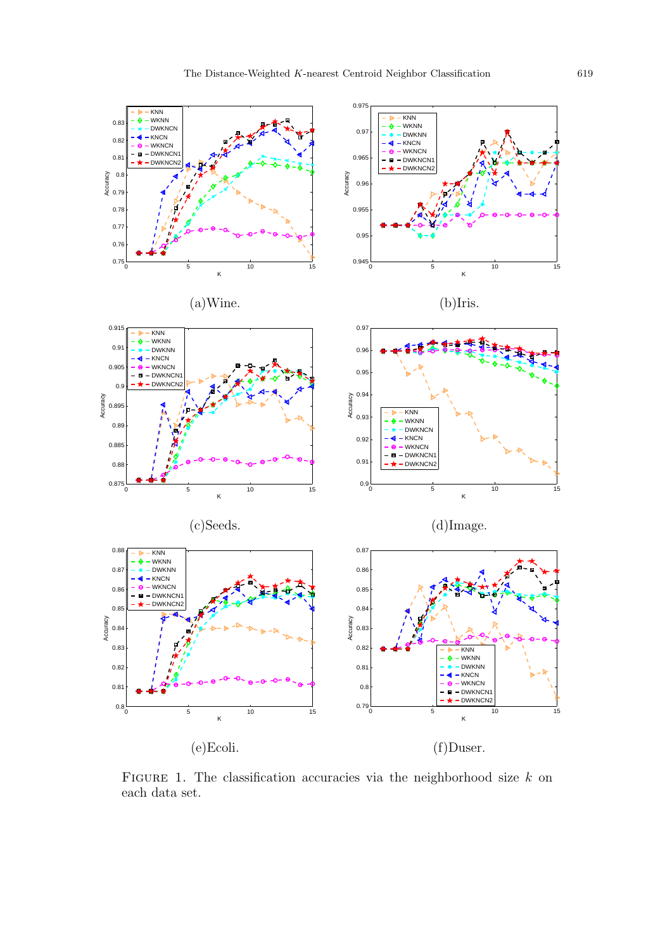

FIGURE 1. The classification accuracies via the neighborhood size  $k$  on each data set.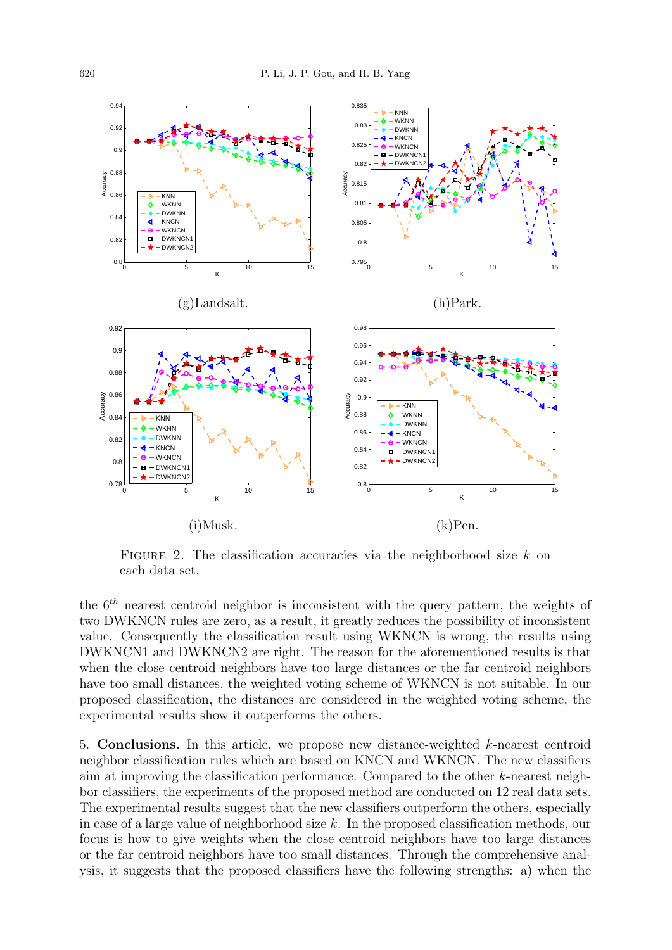

FIGURE 2. The classification accuracies via the neighborhood size  $k$  on each data set.

the  $6<sup>th</sup>$  nearest centroid neighbor is inconsistent with the query pattern, the weights of two DWKNCN rules are zero, as a result, it greatly reduces the possibility of inconsistent value. Consequently the classification result using WKNCN is wrong, the results using DWKNCN1 and DWKNCN2 are right. The reason for the aforementioned results is that when the close centroid neighbors have too large distances or the far centroid neighbors have too small distances, the weighted voting scheme of WKNCN is not suitable. In our proposed classification, the distances are considered in the weighted voting scheme, the experimental results show it outperforms the others.

5. Conclusions. In this article, we propose new distance-weighted k-nearest centroid neighbor classification rules which are based on KNCN and WKNCN. The new classifiers aim at improving the classification performance. Compared to the other  $k$ -nearest neighbor classifiers, the experiments of the proposed method are conducted on 12 real data sets. The experimental results suggest that the new classifiers outperform the others, especially in case of a large value of neighborhood size k. In the proposed classification methods, our focus is how to give weights when the close centroid neighbors have too large distances or the far centroid neighbors have too small distances. Through the comprehensive analysis, it suggests that the proposed classifiers have the following strengths: a) when the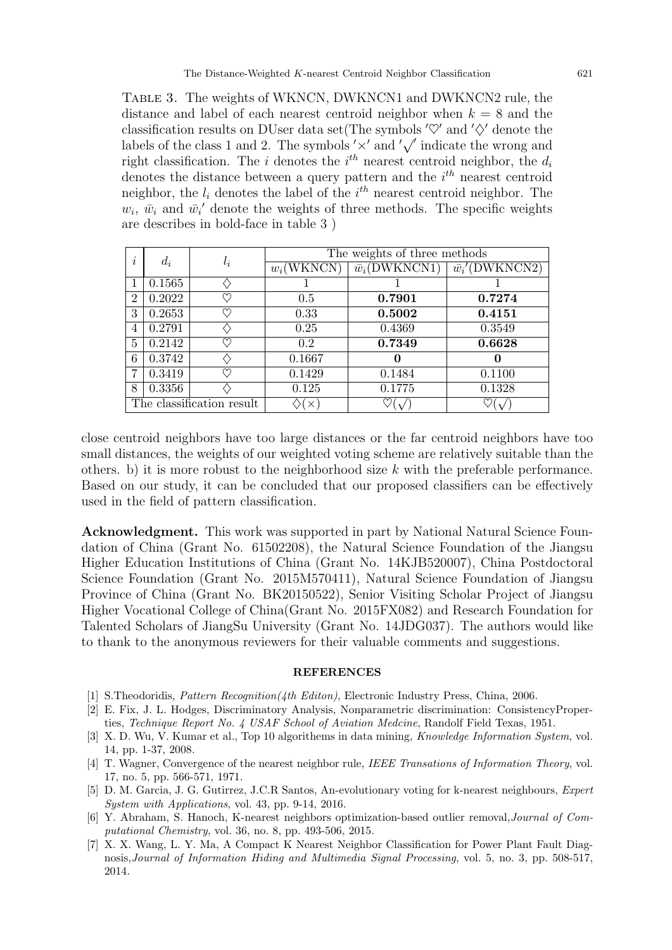Table 3. The weights of WKNCN, DWKNCN1 and DWKNCN2 rule, the distance and label of each nearest centroid neighbor when  $k = 8$  and the classification results on DUser data set(The symbols  $\varphi'$  and  $\varphi'$  denote the classification results on DOSer data set  $($ I he symbols  $\lor$  and  $\lor$  denote the value of the class 1 and 2. The symbols  $\lor$  and  $\lor$  indicate the wrong and right classification. The *i* denotes the  $i<sup>th</sup>$  nearest centroid neighbor, the  $d_i$ denotes the distance between a query pattern and the  $i<sup>th</sup>$  nearest centroid neighbor, the  $l_i$  denotes the label of the  $i^{th}$  nearest centroid neighbor. The  $w_i$ ,  $\bar{w}_i$  and  $\bar{w}_i'$  denote the weights of three methods. The specific weights are describes in bold-face in table 3 )

| $\bullet$<br>$\overline{\imath}$ | $d_i$  | $l_i$    | The weights of three methods |                           |                        |  |
|----------------------------------|--------|----------|------------------------------|---------------------------|------------------------|--|
|                                  |        |          | $w_i$ (WKNCN)                | $\overline{w}_i(DWKNCN1)$ | $\bar{w_i}'$ (DWKNCN2) |  |
|                                  | 0.1565 |          |                              |                           |                        |  |
| $\overline{2}$                   | 0.2022 | ♡        | 0.5                          | 0.7901                    | 0.7274                 |  |
| 3                                | 0.2653 | M        | 0.33                         | 0.5002                    | 0.4151                 |  |
| 4                                | 0.2791 |          | 0.25                         | 0.4369                    | 0.3549                 |  |
| 5                                | 0.2142 | ♡        | 0.2                          | 0.7349                    | 0.6628                 |  |
| 6                                | 0.3742 |          | 0.1667                       | 0                         | $\mathbf{0}$           |  |
| 7                                | 0.3419 | M        | 0.1429                       | 0.1484                    | 0.1100                 |  |
| 8                                | 0.3356 |          | 0.125                        | 0.1775                    | 0.1328                 |  |
| The classification result        |        | $\times$ |                              |                           |                        |  |

close centroid neighbors have too large distances or the far centroid neighbors have too small distances, the weights of our weighted voting scheme are relatively suitable than the others. b) it is more robust to the neighborhood size  $k$  with the preferable performance. Based on our study, it can be concluded that our proposed classifiers can be effectively used in the field of pattern classification.

Acknowledgment. This work was supported in part by National Natural Science Foundation of China (Grant No. 61502208), the Natural Science Foundation of the Jiangsu Higher Education Institutions of China (Grant No. 14KJB520007), China Postdoctoral Science Foundation (Grant No. 2015M570411), Natural Science Foundation of Jiangsu Province of China (Grant No. BK20150522), Senior Visiting Scholar Project of Jiangsu Higher Vocational College of China(Grant No. 2015FX082) and Research Foundation for Talented Scholars of JiangSu University (Grant No. 14JDG037). The authors would like to thank to the anonymous reviewers for their valuable comments and suggestions.

## **REFERENCES**

- [1] S.Theodoridis, Pattern Recognition(4th Editon), Electronic Industry Press, China, 2006.
- [2] E. Fix, J. L. Hodges, Discriminatory Analysis, Nonparametric discrimination: ConsistencyProperties, Technique Report No. 4 USAF School of Aviation Medcine, Randolf Field Texas, 1951.
- [3] X. D. Wu, V. Kumar et al., Top 10 algorithems in data mining, Knowledge Information System, vol. 14, pp. 1-37, 2008.
- [4] T. Wagner, Convergence of the nearest neighbor rule, IEEE Transations of Information Theory, vol. 17, no. 5, pp. 566-571, 1971.
- [5] D. M. Garcia, J. G. Gutirrez, J.C.R Santos, An-evolutionary voting for k-nearest neighbours, Expert System with Applications, vol. 43, pp. 9-14, 2016.
- [6] Y. Abraham, S. Hanoch, K-nearest neighbors optimization-based outlier removal,Journal of Computational Chemistry, vol. 36, no. 8, pp. 493-506, 2015.
- [7] X. X. Wang, L. Y. Ma, A Compact K Nearest Neighbor Classification for Power Plant Fault Diagnosis,Journal of Information Hiding and Multimedia Signal Processing, vol. 5, no. 3, pp. 508-517, 2014.